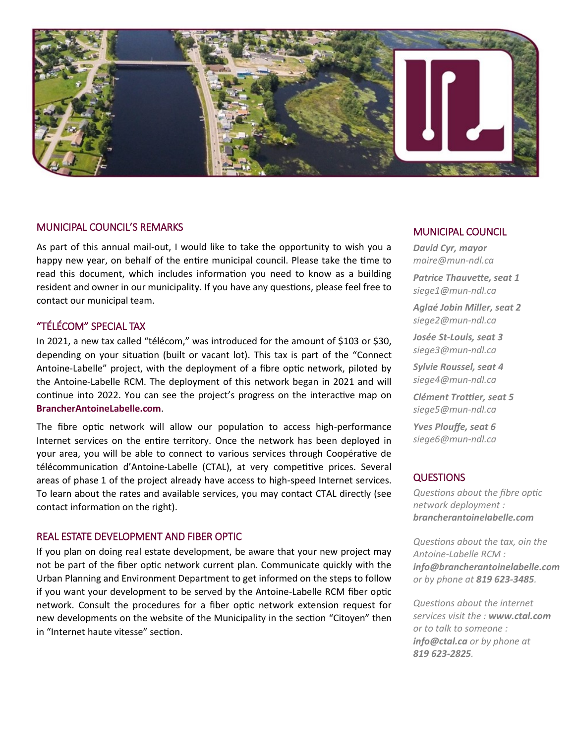

## MUNICIPAL COUNCIL'S REMARKS

As part of this annual mail-out, I would like to take the opportunity to wish you a happy new year, on behalf of the entire municipal council. Please take the time to read this document, which includes information you need to know as a building resident and owner in our municipality. If you have any questions, please feel free to contact our municipal team.

# "TÉLÉCOM" SPECIAL TAX

In 2021, a new tax called "télécom," was introduced for the amount of \$103 or \$30, depending on your situation (built or vacant lot). This tax is part of the "Connect Antoine-Labelle" project, with the deployment of a fibre optic network, piloted by the Antoine-Labelle RCM. The deployment of this network began in 2021 and will continue into 2022. You can see the project's progress on the interactive map on **BrancherAntoineLabelle.com**.

The fibre optic network will allow our population to access high-performance Internet services on the entire territory. Once the network has been deployed in your area, you will be able to connect to various services through Coopérative de télécommunication d'Antoine-Labelle (CTAL), at very competitive prices. Several areas of phase 1 of the project already have access to high-speed Internet services. To learn about the rates and available services, you may contact CTAL directly (see contact information on the right).

## REAL ESTATE DEVELOPMENT AND FIBER OPTIC

If you plan on doing real estate development, be aware that your new project may not be part of the fiber optic network current plan. Communicate quickly with the Urban Planning and Environment Department to get informed on the steps to follow if you want your development to be served by the Antoine-Labelle RCM fiber optic network. Consult the procedures for a fiber optic network extension request for new developments on the website of the Municipality in the section "Citoyen" then in "Internet haute vitesse" section.

#### MUNICIPAL COUNCIL

*David Cyr, mayor maire@mun-ndl.ca*

*Patrice Thauvette, seat 1 siege1@mun-ndl.ca*

*Aglaé Jobin Miller, seat 2 siege2@mun-ndl.ca*

*Josée St-Louis, seat 3 siege3@mun-ndl.ca*

*Sylvie Roussel, seat 4 siege4@mun-ndl.ca*

*Clément Trottier, seat 5 siege5@mun-ndl.ca*

*Yves Plouffe, seat 6 siege6@mun-ndl.ca*

#### **QUESTIONS**

*Questions about the fibre optic network deployment : brancherantoinelabelle.com* 

*Questions about the tax, oin the Antoine-Labelle RCM : info@brancherantoinelabelle.com or by phone at 819 623-3485.* 

*Questions about the internet services visit the : www.ctal.com or to talk to someone : info@ctal.ca or by phone at 819 623-2825.*